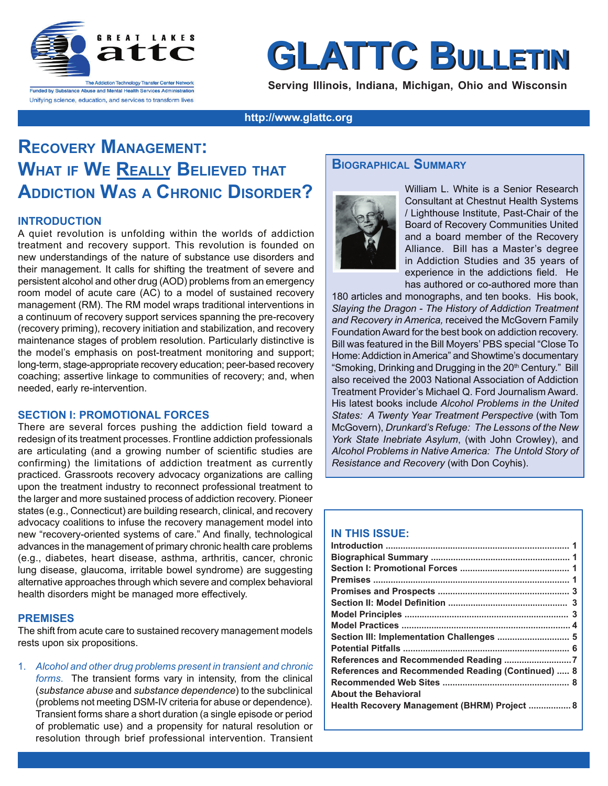

# **GLATTC BULLETI**

**Serving Illinois, Indiana, Michigan, Ohio and Wisconsin**

**http://www.glattc.org**

# **RECOVERY MANAGEMENT: WHAT IF WE REALLY BELIEVED THAT ADDICTION WAS A CHRONIC DISORDER?**

#### **INTRODUCTION**

A quiet revolution is unfolding within the worlds of addiction treatment and recovery support. This revolution is founded on new understandings of the nature of substance use disorders and their management. It calls for shifting the treatment of severe and persistent alcohol and other drug (AOD) problems from an emergency room model of acute care (AC) to a model of sustained recovery management (RM). The RM model wraps traditional interventions in a continuum of recovery support services spanning the pre-recovery (recovery priming), recovery initiation and stabilization, and recovery maintenance stages of problem resolution. Particularly distinctive is the model's emphasis on post-treatment monitoring and support; long-term, stage-appropriate recovery education; peer-based recovery coaching; assertive linkage to communities of recovery; and, when needed, early re-intervention.

#### **SECTION I: PROMOTIONAL FORCES**

There are several forces pushing the addiction field toward a redesign of its treatment processes. Frontline addiction professionals are articulating (and a growing number of scientific studies are confirming) the limitations of addiction treatment as currently practiced. Grassroots recovery advocacy organizations are calling upon the treatment industry to reconnect professional treatment to the larger and more sustained process of addiction recovery. Pioneer states (e.g., Connecticut) are building research, clinical, and recovery advocacy coalitions to infuse the recovery management model into new "recovery-oriented systems of care." And finally, technological advances in the management of primary chronic health care problems (e.g., diabetes, heart disease, asthma, arthritis, cancer, chronic lung disease, glaucoma, irritable bowel syndrome) are suggesting alternative approaches through which severe and complex behavioral health disorders might be managed more effectively.

#### **PREMISES**

The shift from acute care to sustained recovery management models rests upon six propositions.

1. *Alcohol and other drug problems present in transient and chronic forms*. The transient forms vary in intensity, from the clinical (*substance abuse* and *substance dependence*) to the subclinical (problems not meeting DSM-IV criteria for abuse or dependence). Transient forms share a short duration (a single episode or period of problematic use) and a propensity for natural resolution or resolution through brief professional intervention. Transient

## **BIOGRAPHICAL SUMMARY**



William L. White is a Senior Research Consultant at Chestnut Health Systems / Lighthouse Institute, Past-Chair of the Board of Recovery Communities United and a board member of the Recovery Alliance. Bill has a Master's degree in Addiction Studies and 35 years of experience in the addictions field. He has authored or co-authored more than

180 articles and monographs, and ten books. His book, *Slaying the Dragon - The History of Addiction Treatment and Recovery in America,* received the McGovern Family Foundation Award for the best book on addiction recovery. Bill was featured in the Bill Moyers' PBS special "Close To Home: Addiction in America" and Showtime's documentary "Smoking, Drinking and Drugging in the 20<sup>th</sup> Century." Bill also received the 2003 National Association of Addiction Treatment Provider's Michael Q. Ford Journalism Award. His latest books include *Alcohol Problems in the United States: A Twenty Year Treatment Perspective* (with Tom McGovern), *Drunkard's Refuge: The Lessons of the New York State Inebriate Asylum*, (with John Crowley), and *Alcohol Problems in Native America: The Untold Story of Resistance and Recovery* (with Don Coyhis).

#### **IN THIS ISSUE:**

| Section III: Implementation Challenges  5         |
|---------------------------------------------------|
|                                                   |
|                                                   |
| References and Recommended Reading (Continued)  8 |
|                                                   |
| <b>About the Behavioral</b>                       |
| Health Recovery Management (BHRM) Project  8      |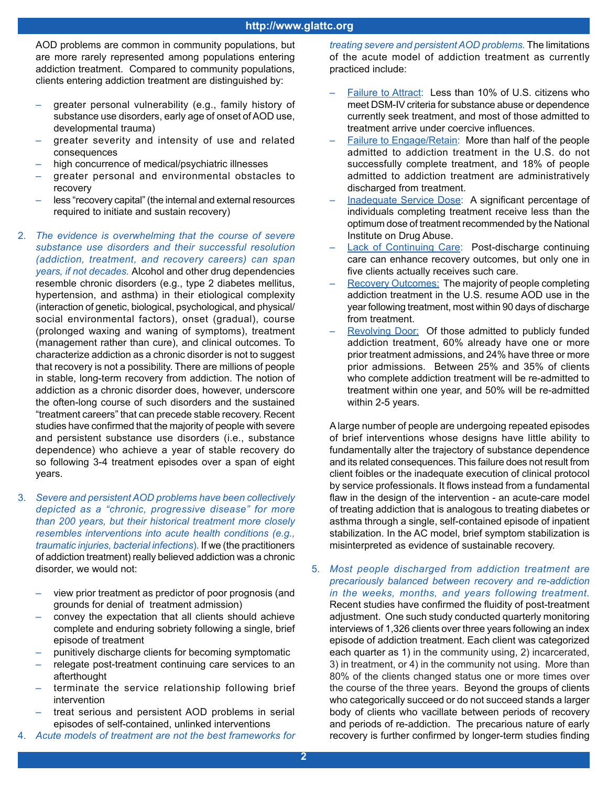AOD problems are common in community populations, but are more rarely represented among populations entering addiction treatment. Compared to community populations, clients entering addiction treatment are distinguished by:

- greater personal vulnerability (e.g., family history of substance use disorders, early age of onset of AOD use, developmental trauma)
- greater severity and intensity of use and related consequences
- high concurrence of medical/psychiatric illnesses
- greater personal and environmental obstacles to recovery
- less "recovery capital" (the internal and external resources required to initiate and sustain recovery)
- 2. *The evidence is overwhelming that the course of severe substance use disorders and their successful resolution (addiction, treatment, and recovery careers) can span years, if not decades.* Alcohol and other drug dependencies resemble chronic disorders (e.g., type 2 diabetes mellitus, hypertension, and asthma) in their etiological complexity (interaction of genetic, biological, psychological, and physical/ social environmental factors), onset (gradual), course (prolonged waxing and waning of symptoms), treatment (management rather than cure), and clinical outcomes. To characterize addiction as a chronic disorder is not to suggest that recovery is not a possibility. There are millions of people in stable, long-term recovery from addiction. The notion of addiction as a chronic disorder does, however, underscore the often-long course of such disorders and the sustained "treatment careers" that can precede stable recovery. Recent studies have confirmed that the majority of people with severe and persistent substance use disorders (i.e., substance dependence) who achieve a year of stable recovery do so following 3-4 treatment episodes over a span of eight years.
- 3. *Severe and persistent AOD problems have been collectively depicted as a "chronic, progressive disease" for more than 200 years, but their historical treatment more closely resembles interventions into acute health conditions (e.g., traumatic injuries, bacterial infections*)*.* If we (the practitioners of addiction treatment) really believed addiction was a chronic disorder, we would not:
	- view prior treatment as predictor of poor prognosis (and grounds for denial of treatment admission)
	- convey the expectation that all clients should achieve complete and enduring sobriety following a single, brief episode of treatment
	- punitively discharge clients for becoming symptomatic
	- relegate post-treatment continuing care services to an afterthought
	- terminate the service relationship following brief intervention
	- treat serious and persistent AOD problems in serial episodes of self-contained, unlinked interventions
- 4. *Acute models of treatment are not the best frameworks for*

*treating severe and persistent AOD problems.* The limitations of the acute model of addiction treatment as currently practiced include:

- Failure to Attract: Less than 10% of U.S. citizens who meet DSM-IV criteria for substance abuse or dependence currently seek treatment, and most of those admitted to treatment arrive under coercive influences.
- Failure to Engage/Retain: More than half of the people admitted to addiction treatment in the U.S. do not successfully complete treatment, and 18% of people admitted to addiction treatment are administratively discharged from treatment.
- Inadequate Service Dose: A significant percentage of individuals completing treatment receive less than the optimum dose of treatment recommended by the National Institute on Drug Abuse.
- Lack of Continuing Care: Post-discharge continuing care can enhance recovery outcomes, but only one in five clients actually receives such care.
- Recovery Outcomes: The majority of people completing addiction treatment in the U.S. resume AOD use in the year following treatment, most within 90 days of discharge from treatment.
- Revolving Door: Of those admitted to publicly funded addiction treatment, 60% already have one or more prior treatment admissions, and 24% have three or more prior admissions. Between 25% and 35% of clients who complete addiction treatment will be re-admitted to treatment within one year, and 50% will be re-admitted within 2-5 years.

A large number of people are undergoing repeated episodes of brief interventions whose designs have little ability to fundamentally alter the trajectory of substance dependence and its related consequences. This failure does not result from client foibles or the inadequate execution of clinical protocol by service professionals. It flows instead from a fundamental flaw in the design of the intervention - an acute-care model of treating addiction that is analogous to treating diabetes or asthma through a single, self-contained episode of inpatient stabilization. In the AC model, brief symptom stabilization is misinterpreted as evidence of sustainable recovery.

5. *Most people discharged from addiction treatment are precariously balanced between recovery and re-addiction in the weeks, months, and years following treatment.* Recent studies have confirmed the fluidity of post-treatment adjustment. One such study conducted quarterly monitoring interviews of 1,326 clients over three years following an index episode of addiction treatment. Each client was categorized each quarter as 1) in the community using, 2) incarcerated, 3) in treatment, or 4) in the community not using. More than 80% of the clients changed status one or more times over the course of the three years. Beyond the groups of clients who categorically succeed or do not succeed stands a larger body of clients who vacillate between periods of recovery and periods of re-addiction. The precarious nature of early recovery is further confirmed by longer-term studies finding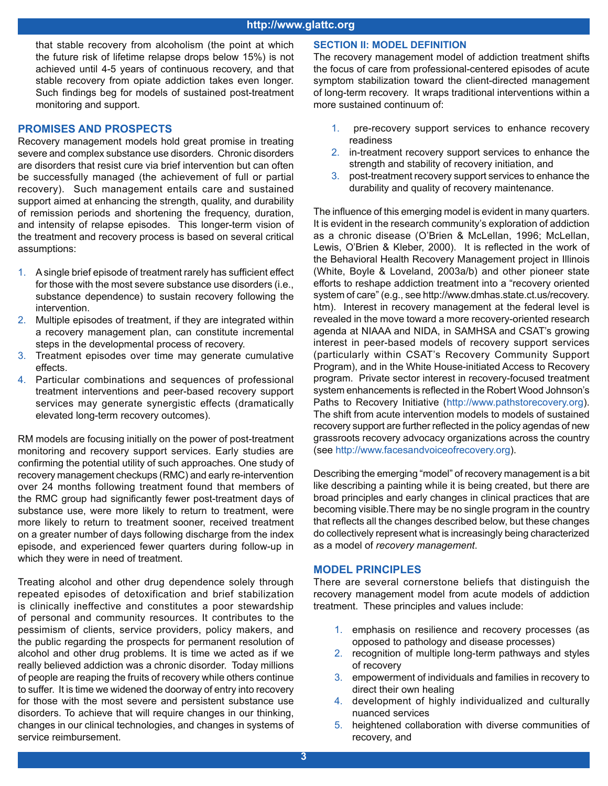that stable recovery from alcoholism (the point at which the future risk of lifetime relapse drops below 15%) is not achieved until 4-5 years of continuous recovery, and that stable recovery from opiate addiction takes even longer. Such findings beg for models of sustained post-treatment monitoring and support.

#### **PROMISES AND PROSPECTS**

Recovery management models hold great promise in treating severe and complex substance use disorders.Chronic disorders are disorders that resist cure via brief intervention but can often be successfully managed (the achievement of full or partial recovery).Such management entails care and sustained support aimed at enhancing the strength, quality, and durability of remission periods and shortening the frequency, duration, and intensity of relapse episodes. This longer-term vision of the treatment and recovery process is based on several critical assumptions:

- 1. A single brief episode of treatment rarely has sufficient effect for those with the most severe substance use disorders (i.e., substance dependence) to sustain recovery following the intervention.
- 2. Multiple episodes of treatment, if they are integrated within a recovery management plan, can constitute incremental steps in the developmental process of recovery.
- 3. Treatment episodes over time may generate cumulative effects.
- 4. Particular combinations and sequences of professional treatment interventions and peer-based recovery support services may generate synergistic effects (dramatically elevated long-term recovery outcomes).

RM models are focusing initially on the power of post-treatment monitoring and recovery support services. Early studies are confirming the potential utility of such approaches. One study of recovery management checkups (RMC) and early re-intervention over 24 months following treatment found that members of the RMC group had significantly fewer post-treatment days of substance use, were more likely to return to treatment, were more likely to return to treatment sooner, received treatment on a greater number of days following discharge from the index episode, and experienced fewer quarters during follow-up in which they were in need of treatment.

Treating alcohol and other drug dependence solely through repeated episodes of detoxification and brief stabilization is clinically ineffective and constitutes a poor stewardship of personal and community resources. It contributes to the pessimism of clients, service providers, policy makers, and the public regarding the prospects for permanent resolution of alcohol and other drug problems. It is time we acted as if we really believed addiction was a chronic disorder. Today millions of people are reaping the fruits of recovery while others continue to suffer. It is time we widened the doorway of entry into recovery for those with the most severe and persistent substance use disorders. To achieve that will require changes in our thinking, changes in our clinical technologies, and changes in systems of service reimbursement.

#### **SECTION II: MODEL DEFINITION**

The recovery management model of addiction treatment shifts the focus of care from professional-centered episodes of acute symptom stabilization toward the client-directed management of long-term recovery. It wraps traditional interventions within a more sustained continuum of:

- 1. pre-recovery support services to enhance recovery readiness
- 2. in-treatment recovery support services to enhance the strength and stability of recovery initiation, and
- 3. post-treatment recovery support services to enhance the durability and quality of recovery maintenance.

The influence of this emerging model is evident in many quarters. It is evident in the research community's exploration of addiction as a chronic disease (O'Brien & McLellan, 1996; McLellan, Lewis, O'Brien & Kleber, 2000). It is reflected in the work of the Behavioral Health Recovery Management project in Illinois (White, Boyle & Loveland, 2003a/b) and other pioneer state efforts to reshape addiction treatment into a "recovery oriented system of care" (e.g., see http://www.dmhas.state.ct.us/recovery. htm). Interest in recovery management at the federal level is revealed in the move toward a more recovery-oriented research agenda at NIAAA and NIDA, in SAMHSA and CSAT's growing interest in peer-based models of recovery support services (particularly within CSAT's Recovery Community Support Program), and in the White House-initiated Access to Recovery program. Private sector interest in recovery-focused treatment system enhancements is reflected in the Robert Wood Johnson's Paths to Recovery Initiative (http://www.pathstorecovery.org). The shift from acute intervention models to models of sustained recovery support are further reflected in the policy agendas of new grassroots recovery advocacy organizations across the country (see http://www.facesandvoiceofrecovery.org).

Describing the emerging "model" of recovery management is a bit like describing a painting while it is being created, but there are broad principles and early changes in clinical practices that are becoming visible.There may be no single program in the country that reflects all the changes described below, but these changes do collectively represent what is increasingly being characterized as a model of *recovery management*.

#### **MODEL PRINCIPLES**

There are several cornerstone beliefs that distinguish the recovery management model from acute models of addiction treatment. These principles and values include:

- 1. emphasis on resilience and recovery processes (as opposed to pathology and disease processes)
- 2. recognition of multiple long-term pathways and styles of recovery
- 3. empowerment of individuals and families in recovery to direct their own healing
- 4. development of highly individualized and culturally nuanced services
- 5. heightened collaboration with diverse communities of recovery, and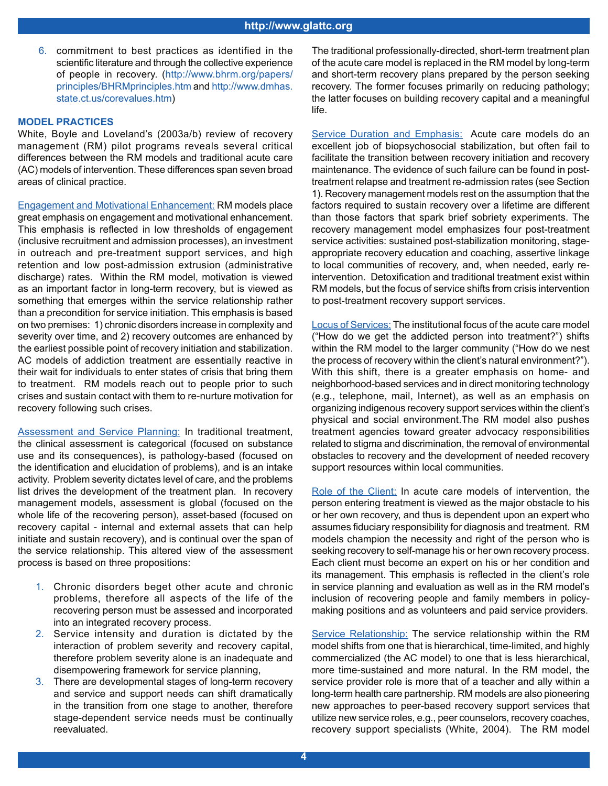6. commitment to best practices as identified in the scientific literature and through the collective experience of people in recovery. (http://www.bhrm.org/papers/ principles/BHRMprinciples.htm and http://www.dmhas. state.ct.us/corevalues.htm)

#### **MODEL PRACTICES**

White, Boyle and Loveland's (2003a/b) review of recovery management (RM) pilot programs reveals several critical differences between the RM models and traditional acute care (AC) models of intervention. These differences span seven broad areas of clinical practice.

Engagement and Motivational Enhancement: RM models place great emphasis on engagement and motivational enhancement. This emphasis is reflected in low thresholds of engagement (inclusive recruitment and admission processes), an investment in outreach and pre-treatment support services, and high retention and low post-admission extrusion (administrative discharge) rates. Within the RM model, motivation is viewed as an important factor in long-term recovery, but is viewed as something that emerges within the service relationship rather than a precondition for service initiation. This emphasis is based on two premises: 1) chronic disorders increase in complexity and severity over time, and 2) recovery outcomes are enhanced by the earliest possible point of recovery initiation and stabilization. AC models of addiction treatment are essentially reactive in their wait for individuals to enter states of crisis that bring them to treatment. RM models reach out to people prior to such crises and sustain contact with them to re-nurture motivation for recovery following such crises.

Assessment and Service Planning: In traditional treatment, the clinical assessment is categorical (focused on substance use and its consequences), is pathology-based (focused on the identification and elucidation of problems), and is an intake activity. Problem severity dictates level of care, and the problems list drives the development of the treatment plan. In recovery management models, assessment is global (focused on the whole life of the recovering person), asset-based (focused on recovery capital - internal and external assets that can help initiate and sustain recovery), and is continual over the span of the service relationship. This altered view of the assessment process is based on three propositions:

- 1. Chronic disorders beget other acute and chronic problems, therefore all aspects of the life of the recovering person must be assessed and incorporated into an integrated recovery process.
- 2. Service intensity and duration is dictated by the interaction of problem severity and recovery capital, therefore problem severity alone is an inadequate and disempowering framework for service planning,
- 3. There are developmental stages of long-term recovery and service and support needs can shift dramatically in the transition from one stage to another, therefore stage-dependent service needs must be continually reevaluated.

The traditional professionally-directed, short-term treatment plan of the acute care model is replaced in the RM model by long-term and short-term recovery plans prepared by the person seeking recovery. The former focuses primarily on reducing pathology; the latter focuses on building recovery capital and a meaningful life.

Service Duration and Emphasis: Acute care models do an excellent job of biopsychosocial stabilization, but often fail to facilitate the transition between recovery initiation and recovery maintenance. The evidence of such failure can be found in posttreatment relapse and treatment re-admission rates (see Section 1). Recovery management models rest on the assumption that the factors required to sustain recovery over a lifetime are different than those factors that spark brief sobriety experiments. The recovery management model emphasizes four post-treatment service activities: sustained post-stabilization monitoring, stageappropriate recovery education and coaching, assertive linkage to local communities of recovery, and, when needed, early reintervention. Detoxification and traditional treatment exist within RM models, but the focus of service shifts from crisis intervention to post-treatment recovery support services.

Locus of Services: The institutional focus of the acute care model ("How do we get the addicted person into treatment?") shifts within the RM model to the larger community ("How do we nest the process of recovery within the client's natural environment?"). With this shift, there is a greater emphasis on home- and neighborhood-based services and in direct monitoring technology (e.g., telephone, mail, Internet), as well as an emphasis on organizing indigenous recovery support services within the client's physical and social environment.The RM model also pushes treatment agencies toward greater advocacy responsibilities related to stigma and discrimination, the removal of environmental obstacles to recovery and the development of needed recovery support resources within local communities.

Role of the Client: In acute care models of intervention, the person entering treatment is viewed as the major obstacle to his or her own recovery, and thus is dependent upon an expert who assumes fiduciary responsibility for diagnosis and treatment. RM models champion the necessity and right of the person who is seeking recovery to self-manage his or her own recovery process. Each client must become an expert on his or her condition and its management. This emphasis is reflected in the client's role in service planning and evaluation as well as in the RM model's inclusion of recovering people and family members in policymaking positions and as volunteers and paid service providers.

Service Relationship: The service relationship within the RM model shifts from one that is hierarchical, time-limited, and highly commercialized (the AC model) to one that is less hierarchical, more time-sustained and more natural. In the RM model, the service provider role is more that of a teacher and ally within a long-term health care partnership. RM models are also pioneering new approaches to peer-based recovery support services that utilize new service roles, e.g., peer counselors, recovery coaches, recovery support specialists (White, 2004). The RM model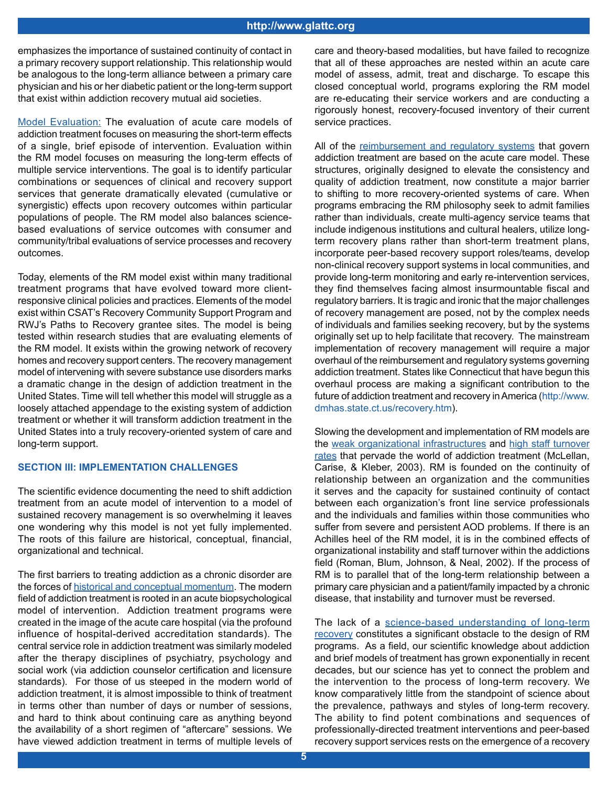emphasizes the importance of sustained continuity of contact in a primary recovery support relationship. This relationship would be analogous to the long-term alliance between a primary care physician and his or her diabetic patient or the long-term support that exist within addiction recovery mutual aid societies.

Model Evaluation: The evaluation of acute care models of addiction treatment focuses on measuring the short-term effects of a single, brief episode of intervention. Evaluation within the RM model focuses on measuring the long-term effects of multiple service interventions. The goal is to identify particular combinations or sequences of clinical and recovery support services that generate dramatically elevated (cumulative or synergistic) effects upon recovery outcomes within particular populations of people. The RM model also balances sciencebased evaluations of service outcomes with consumer and community/tribal evaluations of service processes and recovery outcomes.

Today, elements of the RM model exist within many traditional treatment programs that have evolved toward more clientresponsive clinical policies and practices. Elements of the model exist within CSAT's Recovery Community Support Program and RWJ's Paths to Recovery grantee sites. The model is being tested within research studies that are evaluating elements of the RM model. It exists within the growing network of recovery homes and recovery support centers. The recovery management model of intervening with severe substance use disorders marks a dramatic change in the design of addiction treatment in the United States. Time will tell whether this model will struggle as a loosely attached appendage to the existing system of addiction treatment or whether it will transform addiction treatment in the United States into a truly recovery-oriented system of care and long-term support.

#### **SECTION III: IMPLEMENTATION CHALLENGES**

The scientific evidence documenting the need to shift addiction treatment from an acute model of intervention to a model of sustained recovery management is so overwhelming it leaves one wondering why this model is not yet fully implemented. The roots of this failure are historical, conceptual, financial, organizational and technical.

The first barriers to treating addiction as a chronic disorder are the forces of historical and conceptual momentum. The modern field of addiction treatment is rooted in an acute biopsychological model of intervention. Addiction treatment programs were created in the image of the acute care hospital (via the profound influence of hospital-derived accreditation standards). The central service role in addiction treatment was similarly modeled after the therapy disciplines of psychiatry, psychology and social work (via addiction counselor certification and licensure standards). For those of us steeped in the modern world of addiction treatment, it is almost impossible to think of treatment in terms other than number of days or number of sessions, and hard to think about continuing care as anything beyond the availability of a short regimen of "aftercare" sessions. We have viewed addiction treatment in terms of multiple levels of care and theory-based modalities, but have failed to recognize that all of these approaches are nested within an acute care model of assess, admit, treat and discharge. To escape this closed conceptual world, programs exploring the RM model are re-educating their service workers and are conducting a rigorously honest, recovery-focused inventory of their current service practices.

All of the reimbursement and regulatory systems that govern addiction treatment are based on the acute care model. These structures, originally designed to elevate the consistency and quality of addiction treatment, now constitute a major barrier to shifting to more recovery-oriented systems of care. When programs embracing the RM philosophy seek to admit families rather than individuals, create multi-agency service teams that include indigenous institutions and cultural healers, utilize longterm recovery plans rather than short-term treatment plans, incorporate peer-based recovery support roles/teams, develop non-clinical recovery support systems in local communities, and provide long-term monitoring and early re-intervention services, they find themselves facing almost insurmountable fiscal and regulatory barriers. It is tragic and ironic that the major challenges of recovery management are posed, not by the complex needs of individuals and families seeking recovery, but by the systems originally set up to help facilitate that recovery. The mainstream implementation of recovery management will require a major overhaul of the reimbursement and regulatory systems governing addiction treatment. States like Connecticut that have begun this overhaul process are making a significant contribution to the future of addiction treatment and recovery in America (http://www. dmhas.state.ct.us/recovery.htm).

Slowing the development and implementation of RM models are the weak organizational infrastructures and high staff turnover rates that pervade the world of addiction treatment (McLellan, Carise, & Kleber, 2003). RM is founded on the continuity of relationship between an organization and the communities it serves and the capacity for sustained continuity of contact between each organization's front line service professionals and the individuals and families within those communities who suffer from severe and persistent AOD problems. If there is an Achilles heel of the RM model, it is in the combined effects of organizational instability and staff turnover within the addictions field (Roman, Blum, Johnson, & Neal, 2002). If the process of RM is to parallel that of the long-term relationship between a primary care physician and a patient/family impacted by a chronic disease, that instability and turnover must be reversed.

The lack of a science-based understanding of long-term recovery constitutes a significant obstacle to the design of RM programs. As a field, our scientific knowledge about addiction and brief models of treatment has grown exponentially in recent decades, but our science has yet to connect the problem and the intervention to the process of long-term recovery. We know comparatively little from the standpoint of science about the prevalence, pathways and styles of long-term recovery. The ability to find potent combinations and sequences of professionally-directed treatment interventions and peer-based recovery support services rests on the emergence of a recovery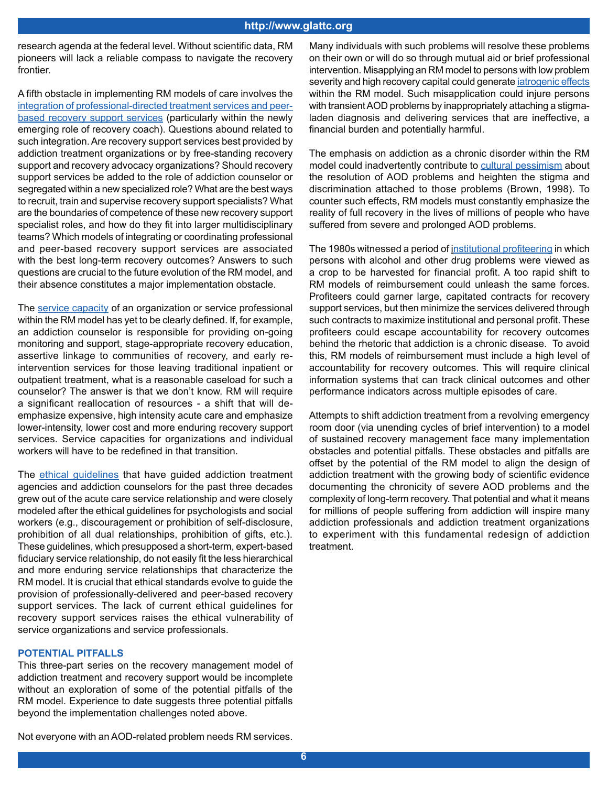#### **http://www.glattc.org**

research agenda at the federal level. Without scientific data, RM pioneers will lack a reliable compass to navigate the recovery frontier.

A fifth obstacle in implementing RM models of care involves the integration of professional-directed treatment services and peerbased recovery support services (particularly within the newly emerging role of recovery coach). Questions abound related to such integration. Are recovery support services best provided by addiction treatment organizations or by free-standing recovery support and recovery advocacy organizations? Should recovery support services be added to the role of addiction counselor or segregated within a new specialized role? What are the best ways to recruit, train and supervise recovery support specialists? What are the boundaries of competence of these new recovery support specialist roles, and how do they fit into larger multidisciplinary teams? Which models of integrating or coordinating professional and peer-based recovery support services are associated with the best long-term recovery outcomes? Answers to such questions are crucial to the future evolution of the RM model, and their absence constitutes a major implementation obstacle.

The service capacity of an organization or service professional within the RM model has yet to be clearly defined. If, for example, an addiction counselor is responsible for providing on-going monitoring and support, stage-appropriate recovery education, assertive linkage to communities of recovery, and early reintervention services for those leaving traditional inpatient or outpatient treatment, what is a reasonable caseload for such a counselor? The answer is that we don't know. RM will require a significant reallocation of resources - a shift that will deemphasize expensive, high intensity acute care and emphasize lower-intensity, lower cost and more enduring recovery support services. Service capacities for organizations and individual workers will have to be redefined in that transition.

The ethical guidelines that have guided addiction treatment agencies and addiction counselors for the past three decades grew out of the acute care service relationship and were closely modeled after the ethical guidelines for psychologists and social workers (e.g., discouragement or prohibition of self-disclosure, prohibition of all dual relationships, prohibition of gifts, etc.). These guidelines, which presupposed a short-term, expert-based fiduciary service relationship, do not easily fit the less hierarchical and more enduring service relationships that characterize the RM model. It is crucial that ethical standards evolve to guide the provision of professionally-delivered and peer-based recovery support services. The lack of current ethical guidelines for recovery support services raises the ethical vulnerability of service organizations and service professionals.

#### **POTENTIAL PITFALLS**

This three-part series on the recovery management model of addiction treatment and recovery support would be incomplete without an exploration of some of the potential pitfalls of the RM model. Experience to date suggests three potential pitfalls beyond the implementation challenges noted above.

Many individuals with such problems will resolve these problems on their own or will do so through mutual aid or brief professional intervention. Misapplying an RM model to persons with low problem severity and high recovery capital could generate *iatrogenic effects* within the RM model. Such misapplication could injure persons with transient AOD problems by inappropriately attaching a stigmaladen diagnosis and delivering services that are ineffective, a financial burden and potentially harmful.

The emphasis on addiction as a chronic disorder within the RM model could inadvertently contribute to cultural pessimism about the resolution of AOD problems and heighten the stigma and discrimination attached to those problems (Brown, 1998). To counter such effects, RM models must constantly emphasize the reality of full recovery in the lives of millions of people who have suffered from severe and prolonged AOD problems.

The 1980s witnessed a period of *institutional profiteering* in which persons with alcohol and other drug problems were viewed as a crop to be harvested for financial profit. A too rapid shift to RM models of reimbursement could unleash the same forces. Profiteers could garner large, capitated contracts for recovery support services, but then minimize the services delivered through such contracts to maximize institutional and personal profit. These profiteers could escape accountability for recovery outcomes behind the rhetoric that addiction is a chronic disease. To avoid this, RM models of reimbursement must include a high level of accountability for recovery outcomes. This will require clinical information systems that can track clinical outcomes and other performance indicators across multiple episodes of care.

Attempts to shift addiction treatment from a revolving emergency room door (via unending cycles of brief intervention) to a model of sustained recovery management face many implementation obstacles and potential pitfalls. These obstacles and pitfalls are offset by the potential of the RM model to align the design of addiction treatment with the growing body of scientific evidence documenting the chronicity of severe AOD problems and the complexity of long-term recovery. That potential and what it means for millions of people suffering from addiction will inspire many addiction professionals and addiction treatment organizations to experiment with this fundamental redesign of addiction treatment.

Not everyone with an AOD-related problem needs RM services.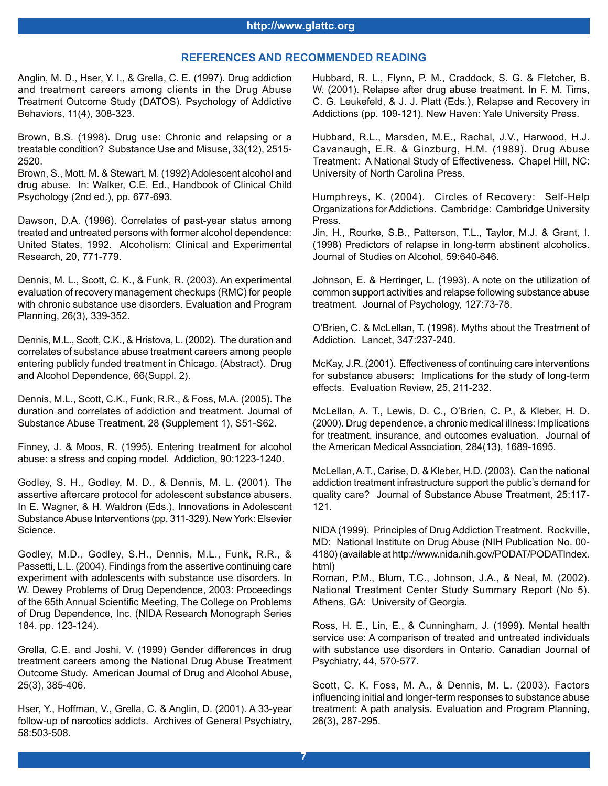#### **REFERENCES AND RECOMMENDED READING**

Anglin, M. D., Hser, Y. I., & Grella, C. E. (1997). Drug addiction and treatment careers among clients in the Drug Abuse Treatment Outcome Study (DATOS). Psychology of Addictive Behaviors, 11(4), 308-323.

Brown, B.S. (1998). Drug use: Chronic and relapsing or a treatable condition? Substance Use and Misuse, 33(12), 2515- 2520.

Brown, S., Mott, M. & Stewart, M. (1992) Adolescent alcohol and drug abuse. In: Walker, C.E. Ed., Handbook of Clinical Child Psychology (2nd ed.), pp. 677-693.

Dawson, D.A. (1996). Correlates of past-year status among treated and untreated persons with former alcohol dependence: United States, 1992. Alcoholism: Clinical and Experimental Research, 20, 771-779.

Dennis, M. L., Scott, C. K., & Funk, R. (2003). An experimental evaluation of recovery management checkups (RMC) for people with chronic substance use disorders. Evaluation and Program Planning, 26(3), 339-352.

Dennis, M.L., Scott, C.K., & Hristova, L. (2002). The duration and correlates of substance abuse treatment careers among people entering publicly funded treatment in Chicago. (Abstract). Drug and Alcohol Dependence, 66(Suppl. 2).

Dennis, M.L., Scott, C.K., Funk, R.R., & Foss, M.A. (2005). The duration and correlates of addiction and treatment. Journal of Substance Abuse Treatment, 28 (Supplement 1), S51-S62.

Finney, J. & Moos, R. (1995). Entering treatment for alcohol abuse: a stress and coping model. Addiction, 90:1223-1240.

Godley, S. H., Godley, M. D., & Dennis, M. L. (2001). The assertive aftercare protocol for adolescent substance abusers. In E. Wagner, & H. Waldron (Eds.), Innovations in Adolescent Substance Abuse Interventions (pp. 311-329). New York: Elsevier Science.

Godley, M.D., Godley, S.H., Dennis, M.L., Funk, R.R., & Passetti, L.L. (2004). Findings from the assertive continuing care experiment with adolescents with substance use disorders. In W. Dewey Problems of Drug Dependence, 2003: Proceedings of the 65th Annual Scientific Meeting, The College on Problems of Drug Dependence, Inc. (NIDA Research Monograph Series 184. pp. 123-124).

Grella, C.E. and Joshi, V. (1999) Gender differences in drug treatment careers among the National Drug Abuse Treatment Outcome Study. American Journal of Drug and Alcohol Abuse, 25(3), 385-406.

Hser, Y., Hoffman, V., Grella, C. & Anglin, D. (2001). A 33-year follow-up of narcotics addicts. Archives of General Psychiatry, 58:503-508.

Hubbard, R. L., Flynn, P. M., Craddock, S. G. & Fletcher, B. W. (2001). Relapse after drug abuse treatment. In F. M. Tims, C. G. Leukefeld, & J. J. Platt (Eds.), Relapse and Recovery in Addictions (pp. 109-121). New Haven: Yale University Press.

Hubbard, R.L., Marsden, M.E., Rachal, J.V., Harwood, H.J. Cavanaugh, E.R. & Ginzburg, H.M. (1989). Drug Abuse Treatment: A National Study of Effectiveness. Chapel Hill, NC: University of North Carolina Press.

Humphreys, K. (2004). Circles of Recovery: Self-Help Organizations for Addictions. Cambridge: Cambridge University Press.

Jin, H., Rourke, S.B., Patterson, T.L., Taylor, M.J. & Grant, I. (1998) Predictors of relapse in long-term abstinent alcoholics. Journal of Studies on Alcohol, 59:640-646.

Johnson, E. & Herringer, L. (1993). A note on the utilization of common support activities and relapse following substance abuse treatment. Journal of Psychology, 127:73-78.

O'Brien, C. & McLellan, T. (1996). Myths about the Treatment of Addiction. Lancet, 347:237-240.

McKay, J.R. (2001). Effectiveness of continuing care interventions for substance abusers: Implications for the study of long-term effects. Evaluation Review, 25, 211-232.

McLellan, A. T., Lewis, D. C., O'Brien, C. P., & Kleber, H. D. (2000). Drug dependence, a chronic medical illness: Implications for treatment, insurance, and outcomes evaluation. Journal of the American Medical Association, 284(13), 1689-1695.

McLellan, A.T., Carise, D. & Kleber, H.D. (2003). Can the national addiction treatment infrastructure support the public's demand for quality care? Journal of Substance Abuse Treatment, 25:117- 121.

NIDA (1999). Principles of Drug Addiction Treatment. Rockville, MD: National Institute on Drug Abuse (NIH Publication No. 00- 4180) (available at http://www.nida.nih.gov/PODAT/PODATIndex. html)

Roman, P.M., Blum, T.C., Johnson, J.A., & Neal, M. (2002). National Treatment Center Study Summary Report (No 5). Athens, GA: University of Georgia.

Ross, H. E., Lin, E., & Cunningham, J. (1999). Mental health service use: A comparison of treated and untreated individuals with substance use disorders in Ontario. Canadian Journal of Psychiatry, 44, 570-577.

Scott, C. K, Foss, M. A., & Dennis, M. L. (2003). Factors influencing initial and longer-term responses to substance abuse treatment: A path analysis. Evaluation and Program Planning, 26(3), 287-295.